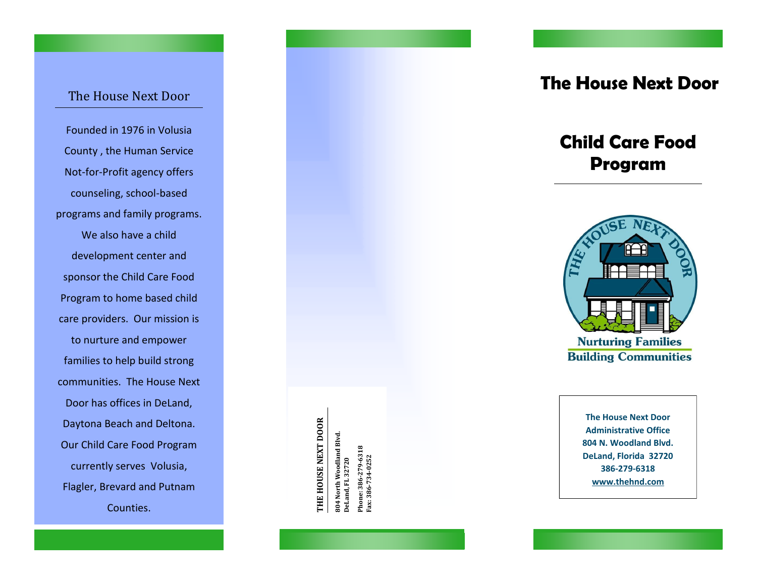## The House Next Door

Founded in 1976 in Volusia County , the Human Service Not -for -Profit agency offers counseling, school -based programs and family programs. We also have a child development center and sponsor the Child Care Food Program to home based child care providers. Our mission is to nurture and empower families to help build strong communities. The House Next Door has offices in DeLand, Daytona Beach and Deltona. Our Child Care Food Program currently serves Volusia, Flagler, Brevard and Putnam Counties.

THE HOUSE NEXT DOOR **THE HOUSE NEXT DOOR**

804 North Woodland Blvd.<br>DeLand, FL 32720 **804 North Woodland Blvd.** Phone: 386-279-6318<br>Fax: 386-734-0252 **Phone: 386-279-6318 DeLand, FL 32720**

**Fax: 386-734-0252** 

**The House Next Door**

# **Child Care Food Program**



**The House Next Door Administrative Office 804 N. Woodland Blvd. DeLand, Florida 32720 386 -279 -6318 www.thehnd.com**